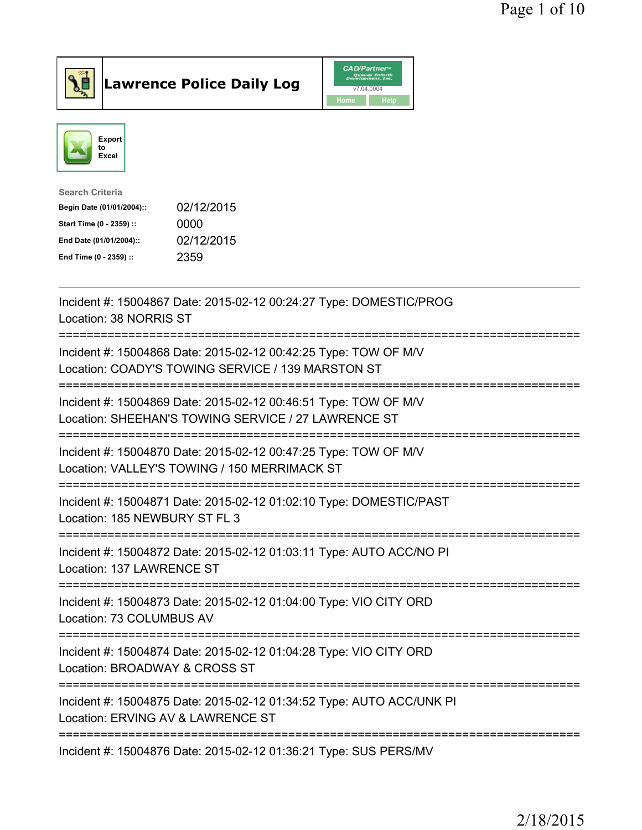



| <b>Search Criteria</b>    |            |
|---------------------------|------------|
| Begin Date (01/01/2004):: | 02/12/2015 |
| Start Time (0 - 2359) ::  | 0000       |
| End Date (01/01/2004)::   | 02/12/2015 |
| End Time (0 - 2359) ::    | 2359       |
|                           |            |

| Incident #: 15004867 Date: 2015-02-12 00:24:27 Type: DOMESTIC/PROG<br>Location: 38 NORRIS ST                           |
|------------------------------------------------------------------------------------------------------------------------|
| Incident #: 15004868 Date: 2015-02-12 00:42:25 Type: TOW OF M/V<br>Location: COADY'S TOWING SERVICE / 139 MARSTON ST   |
| Incident #: 15004869 Date: 2015-02-12 00:46:51 Type: TOW OF M/V<br>Location: SHEEHAN'S TOWING SERVICE / 27 LAWRENCE ST |
| Incident #: 15004870 Date: 2015-02-12 00:47:25 Type: TOW OF M/V<br>Location: VALLEY'S TOWING / 150 MERRIMACK ST        |
| Incident #: 15004871 Date: 2015-02-12 01:02:10 Type: DOMESTIC/PAST<br>Location: 185 NEWBURY ST FL 3<br>:===========    |
| Incident #: 15004872 Date: 2015-02-12 01:03:11 Type: AUTO ACC/NO PI<br>Location: 137 LAWRENCE ST<br>----------------   |
| Incident #: 15004873 Date: 2015-02-12 01:04:00 Type: VIO CITY ORD<br>Location: 73 COLUMBUS AV                          |
| Incident #: 15004874 Date: 2015-02-12 01:04:28 Type: VIO CITY ORD<br>Location: BROADWAY & CROSS ST                     |
| Incident #: 15004875 Date: 2015-02-12 01:34:52 Type: AUTO ACC/UNK PI<br>Location: ERVING AV & LAWRENCE ST              |
| Incident #: 15004876 Date: 2015-02-12 01:36:21 Type: SUS PERS/MV                                                       |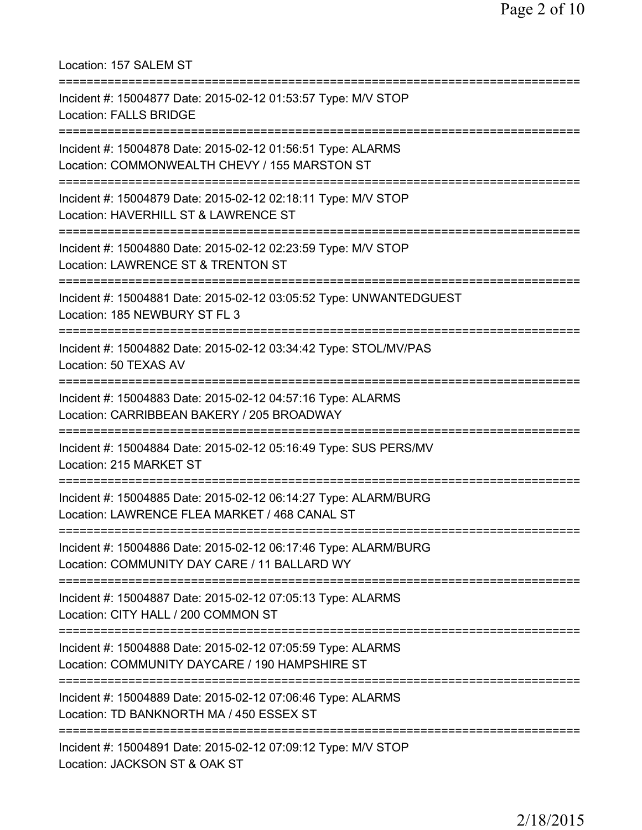Location: 157 SALEM ST =========================================================================== Incident #: 15004877 Date: 2015-02-12 01:53:57 Type: M/V STOP Location: FALLS BRIDGE =========================================================================== Incident #: 15004878 Date: 2015-02-12 01:56:51 Type: ALARMS Location: COMMONWEALTH CHEVY / 155 MARSTON ST =========================================================================== Incident #: 15004879 Date: 2015-02-12 02:18:11 Type: M/V STOP Location: HAVERHILL ST & LAWRENCE ST =========================================================================== Incident #: 15004880 Date: 2015-02-12 02:23:59 Type: M/V STOP Location: LAWRENCE ST & TRENTON ST =========================================================================== Incident #: 15004881 Date: 2015-02-12 03:05:52 Type: UNWANTEDGUEST Location: 185 NEWBURY ST FL 3 =========================================================================== Incident #: 15004882 Date: 2015-02-12 03:34:42 Type: STOL/MV/PAS Location: 50 TEXAS AV =========================================================================== Incident #: 15004883 Date: 2015-02-12 04:57:16 Type: ALARMS Location: CARRIBBEAN BAKERY / 205 BROADWAY =========================================================================== Incident #: 15004884 Date: 2015-02-12 05:16:49 Type: SUS PERS/MV Location: 215 MARKET ST =========================================================================== Incident #: 15004885 Date: 2015-02-12 06:14:27 Type: ALARM/BURG Location: LAWRENCE FLEA MARKET / 468 CANAL ST =========================================================================== Incident #: 15004886 Date: 2015-02-12 06:17:46 Type: ALARM/BURG Location: COMMUNITY DAY CARE / 11 BALLARD WY =========================================================================== Incident #: 15004887 Date: 2015-02-12 07:05:13 Type: ALARMS Location: CITY HALL / 200 COMMON ST =========================================================================== Incident #: 15004888 Date: 2015-02-12 07:05:59 Type: ALARMS Location: COMMUNITY DAYCARE / 190 HAMPSHIRE ST =========================================================================== Incident #: 15004889 Date: 2015-02-12 07:06:46 Type: ALARMS Location: TD BANKNORTH MA / 450 ESSEX ST =========================================================================== Incident #: 15004891 Date: 2015-02-12 07:09:12 Type: M/V STOP Location: JACKSON ST & OAK ST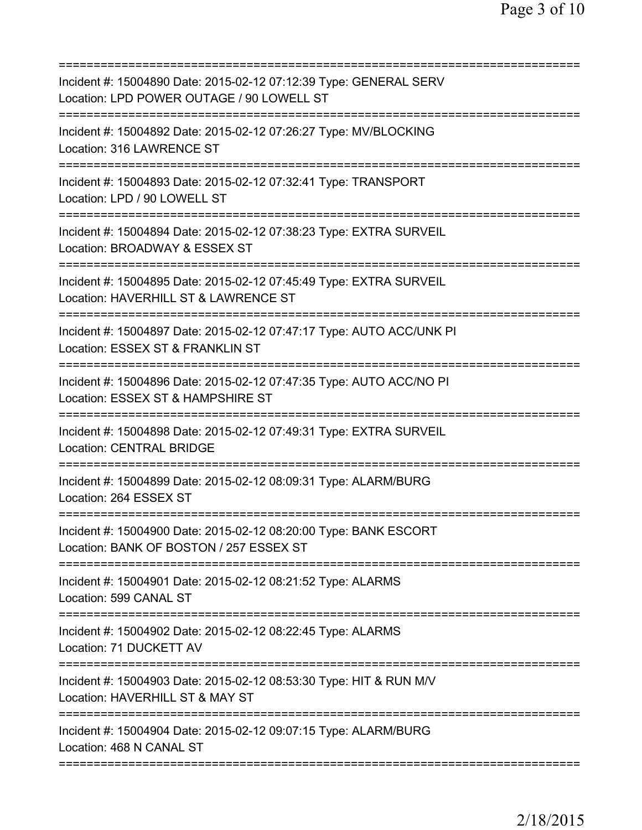| Incident #: 15004890 Date: 2015-02-12 07:12:39 Type: GENERAL SERV<br>Location: LPD POWER OUTAGE / 90 LOWELL ST                              |
|---------------------------------------------------------------------------------------------------------------------------------------------|
| Incident #: 15004892 Date: 2015-02-12 07:26:27 Type: MV/BLOCKING<br>Location: 316 LAWRENCE ST                                               |
| Incident #: 15004893 Date: 2015-02-12 07:32:41 Type: TRANSPORT<br>Location: LPD / 90 LOWELL ST                                              |
| Incident #: 15004894 Date: 2015-02-12 07:38:23 Type: EXTRA SURVEIL<br>Location: BROADWAY & ESSEX ST                                         |
| Incident #: 15004895 Date: 2015-02-12 07:45:49 Type: EXTRA SURVEIL<br>Location: HAVERHILL ST & LAWRENCE ST                                  |
| ===============================<br>Incident #: 15004897 Date: 2015-02-12 07:47:17 Type: AUTO ACC/UNK PI<br>Location: ESSEX ST & FRANKLIN ST |
| ============================<br>Incident #: 15004896 Date: 2015-02-12 07:47:35 Type: AUTO ACC/NO PI<br>Location: ESSEX ST & HAMPSHIRE ST    |
| Incident #: 15004898 Date: 2015-02-12 07:49:31 Type: EXTRA SURVEIL<br><b>Location: CENTRAL BRIDGE</b>                                       |
| Incident #: 15004899 Date: 2015-02-12 08:09:31 Type: ALARM/BURG<br>Location: 264 ESSEX ST                                                   |
| Incident #: 15004900 Date: 2015-02-12 08:20:00 Type: BANK ESCORT<br>Location: BANK OF BOSTON / 257 ESSEX ST                                 |
| ==========================<br>Incident #: 15004901 Date: 2015-02-12 08:21:52 Type: ALARMS<br>Location: 599 CANAL ST                         |
| Incident #: 15004902 Date: 2015-02-12 08:22:45 Type: ALARMS<br>Location: 71 DUCKETT AV                                                      |
| Incident #: 15004903 Date: 2015-02-12 08:53:30 Type: HIT & RUN M/V<br>Location: HAVERHILL ST & MAY ST                                       |
| Incident #: 15004904 Date: 2015-02-12 09:07:15 Type: ALARM/BURG<br>Location: 468 N CANAL ST                                                 |
|                                                                                                                                             |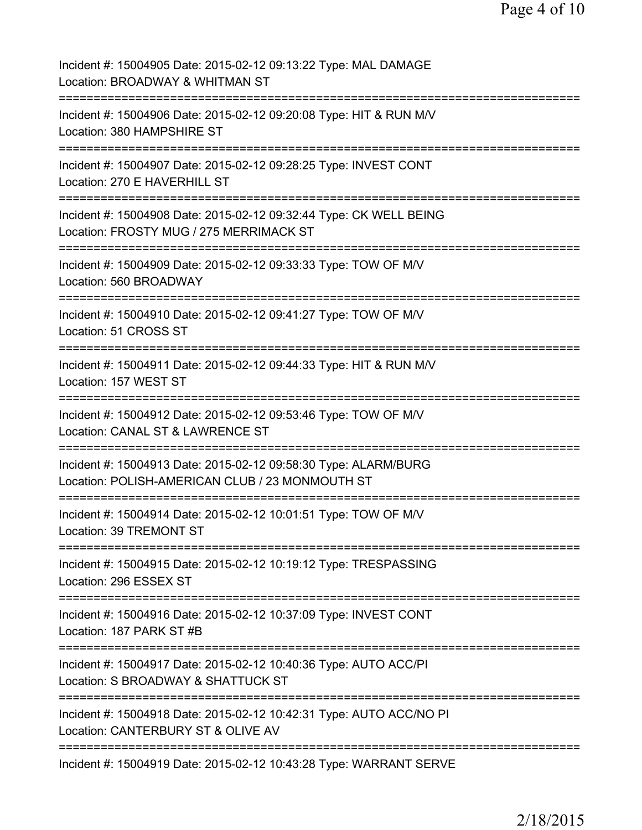| Incident #: 15004905 Date: 2015-02-12 09:13:22 Type: MAL DAMAGE<br>Location: BROADWAY & WHITMAN ST                                                                  |
|---------------------------------------------------------------------------------------------------------------------------------------------------------------------|
| Incident #: 15004906 Date: 2015-02-12 09:20:08 Type: HIT & RUN M/V<br>Location: 380 HAMPSHIRE ST                                                                    |
| Incident #: 15004907 Date: 2015-02-12 09:28:25 Type: INVEST CONT<br>Location: 270 E HAVERHILL ST                                                                    |
| Incident #: 15004908 Date: 2015-02-12 09:32:44 Type: CK WELL BEING<br>Location: FROSTY MUG / 275 MERRIMACK ST                                                       |
| Incident #: 15004909 Date: 2015-02-12 09:33:33 Type: TOW OF M/V<br>Location: 560 BROADWAY                                                                           |
| Incident #: 15004910 Date: 2015-02-12 09:41:27 Type: TOW OF M/V<br>Location: 51 CROSS ST                                                                            |
| Incident #: 15004911 Date: 2015-02-12 09:44:33 Type: HIT & RUN M/V<br>Location: 157 WEST ST<br>;==================================                                  |
| Incident #: 15004912 Date: 2015-02-12 09:53:46 Type: TOW OF M/V<br>Location: CANAL ST & LAWRENCE ST                                                                 |
| ==================<br>=======================<br>Incident #: 15004913 Date: 2015-02-12 09:58:30 Type: ALARM/BURG<br>Location: POLISH-AMERICAN CLUB / 23 MONMOUTH ST |
| :==============================<br>Incident #: 15004914 Date: 2015-02-12 10:01:51 Type: TOW OF M/V<br>Location: 39 TREMONT ST                                       |
| Incident #: 15004915 Date: 2015-02-12 10:19:12 Type: TRESPASSING<br>Location: 296 ESSEX ST                                                                          |
| Incident #: 15004916 Date: 2015-02-12 10:37:09 Type: INVEST CONT<br>Location: 187 PARK ST #B                                                                        |
| Incident #: 15004917 Date: 2015-02-12 10:40:36 Type: AUTO ACC/PI<br>Location: S BROADWAY & SHATTUCK ST                                                              |
| Incident #: 15004918 Date: 2015-02-12 10:42:31 Type: AUTO ACC/NO PI<br>Location: CANTERBURY ST & OLIVE AV                                                           |
| Incident #: 15004919 Date: 2015-02-12 10:43:28 Type: WARRANT SERVE                                                                                                  |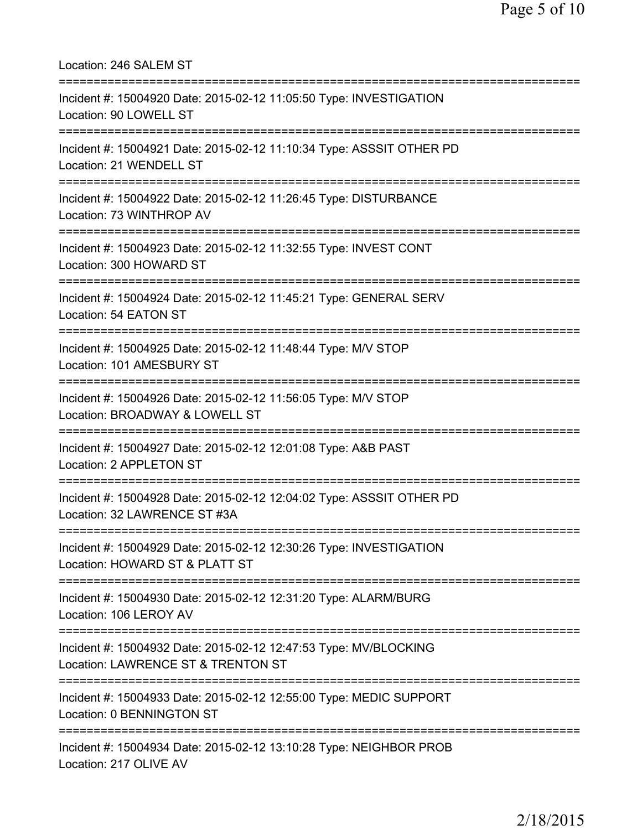Location: 246 SALEM ST =========================================================================== Incident #: 15004920 Date: 2015-02-12 11:05:50 Type: INVESTIGATION Location: 90 LOWELL ST =========================================================================== Incident #: 15004921 Date: 2015-02-12 11:10:34 Type: ASSSIT OTHER PD Location: 21 WENDELL ST =========================================================================== Incident #: 15004922 Date: 2015-02-12 11:26:45 Type: DISTURBANCE Location: 73 WINTHROP AV =========================================================================== Incident #: 15004923 Date: 2015-02-12 11:32:55 Type: INVEST CONT Location: 300 HOWARD ST =========================================================================== Incident #: 15004924 Date: 2015-02-12 11:45:21 Type: GENERAL SERV Location: 54 EATON ST =========================================================================== Incident #: 15004925 Date: 2015-02-12 11:48:44 Type: M/V STOP Location: 101 AMESBURY ST =========================================================================== Incident #: 15004926 Date: 2015-02-12 11:56:05 Type: M/V STOP Location: BROADWAY & LOWELL ST =========================================================================== Incident #: 15004927 Date: 2015-02-12 12:01:08 Type: A&B PAST Location: 2 APPLETON ST =========================================================================== Incident #: 15004928 Date: 2015-02-12 12:04:02 Type: ASSSIT OTHER PD Location: 32 LAWRENCE ST #3A =========================================================================== Incident #: 15004929 Date: 2015-02-12 12:30:26 Type: INVESTIGATION Location: HOWARD ST & PLATT ST =========================================================================== Incident #: 15004930 Date: 2015-02-12 12:31:20 Type: ALARM/BURG Location: 106 LEROY AV =========================================================================== Incident #: 15004932 Date: 2015-02-12 12:47:53 Type: MV/BLOCKING Location: LAWRENCE ST & TRENTON ST =========================================================================== Incident #: 15004933 Date: 2015-02-12 12:55:00 Type: MEDIC SUPPORT Location: 0 BENNINGTON ST =========================================================================== Incident #: 15004934 Date: 2015-02-12 13:10:28 Type: NEIGHBOR PROB Location: 217 OLIVE AV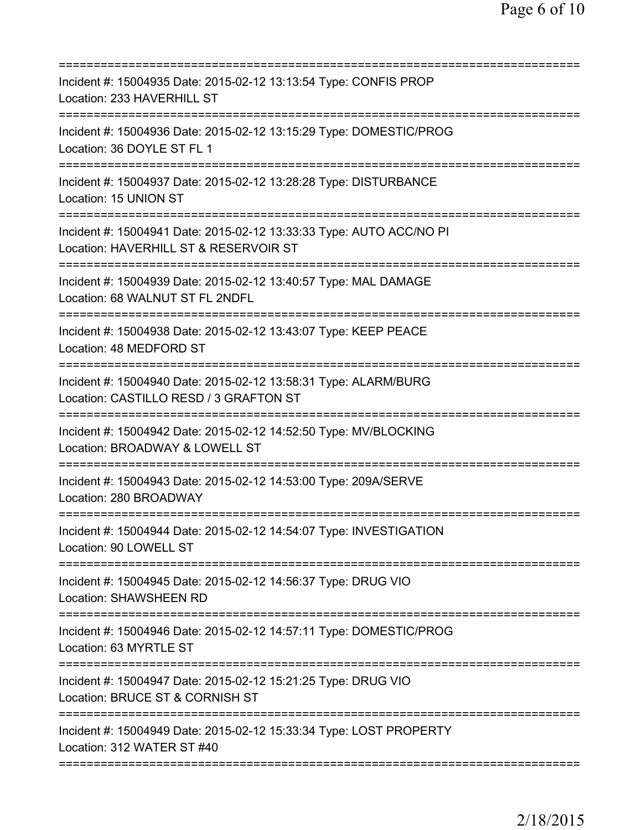| Incident #: 15004935 Date: 2015-02-12 13:13:54 Type: CONFIS PROP<br>Location: 233 HAVERHILL ST                                               |
|----------------------------------------------------------------------------------------------------------------------------------------------|
| Incident #: 15004936 Date: 2015-02-12 13:15:29 Type: DOMESTIC/PROG<br>Location: 36 DOYLE ST FL 1                                             |
| Incident #: 15004937 Date: 2015-02-12 13:28:28 Type: DISTURBANCE<br>Location: 15 UNION ST                                                    |
| Incident #: 15004941 Date: 2015-02-12 13:33:33 Type: AUTO ACC/NO PI<br>Location: HAVERHILL ST & RESERVOIR ST<br>===========================  |
| Incident #: 15004939 Date: 2015-02-12 13:40:57 Type: MAL DAMAGE<br>Location: 68 WALNUT ST FL 2NDFL                                           |
| Incident #: 15004938 Date: 2015-02-12 13:43:07 Type: KEEP PEACE<br>Location: 48 MEDFORD ST                                                   |
| Incident #: 15004940 Date: 2015-02-12 13:58:31 Type: ALARM/BURG<br>Location: CASTILLO RESD / 3 GRAFTON ST<br>=============================== |
| Incident #: 15004942 Date: 2015-02-12 14:52:50 Type: MV/BLOCKING<br>Location: BROADWAY & LOWELL ST<br>:========================              |
| Incident #: 15004943 Date: 2015-02-12 14:53:00 Type: 209A/SERVE<br>Location: 280 BROADWAY                                                    |
| Incident #: 15004944 Date: 2015-02-12 14:54:07 Type: INVESTIGATION<br>Location: 90 LOWELL ST                                                 |
| Incident #: 15004945 Date: 2015-02-12 14:56:37 Type: DRUG VIO<br>Location: SHAWSHEEN RD                                                      |
| Incident #: 15004946 Date: 2015-02-12 14:57:11 Type: DOMESTIC/PROG<br>Location: 63 MYRTLE ST                                                 |
| Incident #: 15004947 Date: 2015-02-12 15:21:25 Type: DRUG VIO<br>Location: BRUCE ST & CORNISH ST                                             |
| Incident #: 15004949 Date: 2015-02-12 15:33:34 Type: LOST PROPERTY<br>Location: 312 WATER ST #40                                             |
|                                                                                                                                              |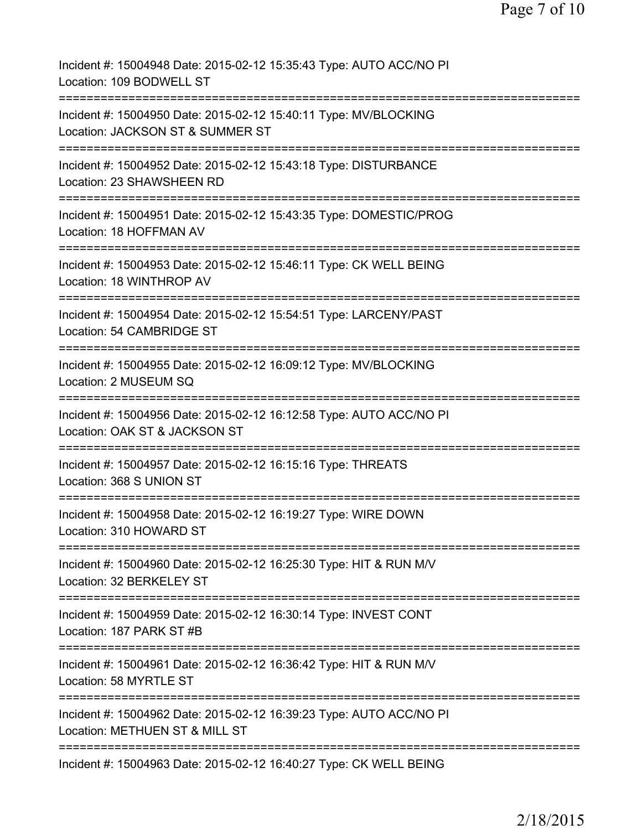| Incident #: 15004948 Date: 2015-02-12 15:35:43 Type: AUTO ACC/NO PI<br>Location: 109 BODWELL ST                                  |
|----------------------------------------------------------------------------------------------------------------------------------|
| Incident #: 15004950 Date: 2015-02-12 15:40:11 Type: MV/BLOCKING<br>Location: JACKSON ST & SUMMER ST                             |
| Incident #: 15004952 Date: 2015-02-12 15:43:18 Type: DISTURBANCE<br>Location: 23 SHAWSHEEN RD                                    |
| Incident #: 15004951 Date: 2015-02-12 15:43:35 Type: DOMESTIC/PROG<br>Location: 18 HOFFMAN AV                                    |
| Incident #: 15004953 Date: 2015-02-12 15:46:11 Type: CK WELL BEING<br>Location: 18 WINTHROP AV                                   |
| Incident #: 15004954 Date: 2015-02-12 15:54:51 Type: LARCENY/PAST<br>Location: 54 CAMBRIDGE ST                                   |
| Incident #: 15004955 Date: 2015-02-12 16:09:12 Type: MV/BLOCKING<br>Location: 2 MUSEUM SQ<br>:================================== |
| Incident #: 15004956 Date: 2015-02-12 16:12:58 Type: AUTO ACC/NO PI<br>Location: OAK ST & JACKSON ST                             |
| Incident #: 15004957 Date: 2015-02-12 16:15:16 Type: THREATS<br>Location: 368 S UNION ST                                         |
| Incident #: 15004958 Date: 2015-02-12 16:19:27 Type: WIRE DOWN<br>Location: 310 HOWARD ST                                        |
| ===========================<br>Incident #: 15004960 Date: 2015-02-12 16:25:30 Type: HIT & RUN M/V<br>Location: 32 BERKELEY ST    |
| Incident #: 15004959 Date: 2015-02-12 16:30:14 Type: INVEST CONT<br>Location: 187 PARK ST #B                                     |
| Incident #: 15004961 Date: 2015-02-12 16:36:42 Type: HIT & RUN M/V<br>Location: 58 MYRTLE ST                                     |
| Incident #: 15004962 Date: 2015-02-12 16:39:23 Type: AUTO ACC/NO PI<br>Location: METHUEN ST & MILL ST                            |
| Incident #: 15004963 Date: 2015-02-12 16:40:27 Type: CK WELL BEING                                                               |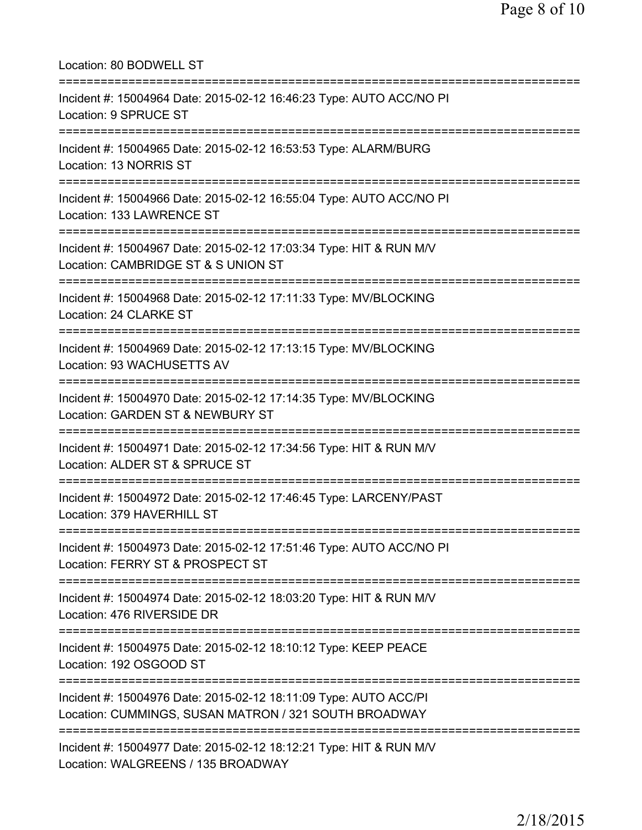| Location: 80 BODWELL ST                                                                                                                   |
|-------------------------------------------------------------------------------------------------------------------------------------------|
| Incident #: 15004964 Date: 2015-02-12 16:46:23 Type: AUTO ACC/NO PI<br>Location: 9 SPRUCE ST                                              |
| Incident #: 15004965 Date: 2015-02-12 16:53:53 Type: ALARM/BURG<br>Location: 13 NORRIS ST                                                 |
| Incident #: 15004966 Date: 2015-02-12 16:55:04 Type: AUTO ACC/NO PI<br>Location: 133 LAWRENCE ST<br>====================                  |
| Incident #: 15004967 Date: 2015-02-12 17:03:34 Type: HIT & RUN M/V<br>Location: CAMBRIDGE ST & S UNION ST<br>---------------------------- |
| Incident #: 15004968 Date: 2015-02-12 17:11:33 Type: MV/BLOCKING<br>Location: 24 CLARKE ST                                                |
| Incident #: 15004969 Date: 2015-02-12 17:13:15 Type: MV/BLOCKING<br>Location: 93 WACHUSETTS AV                                            |
| Incident #: 15004970 Date: 2015-02-12 17:14:35 Type: MV/BLOCKING<br>Location: GARDEN ST & NEWBURY ST                                      |
| Incident #: 15004971 Date: 2015-02-12 17:34:56 Type: HIT & RUN M/V<br>Location: ALDER ST & SPRUCE ST                                      |
| Incident #: 15004972 Date: 2015-02-12 17:46:45 Type: LARCENY/PAST<br>Location: 379 HAVERHILL ST                                           |
| Incident #: 15004973 Date: 2015-02-12 17:51:46 Type: AUTO ACC/NO PI<br>Location: FERRY ST & PROSPECT ST                                   |
| Incident #: 15004974 Date: 2015-02-12 18:03:20 Type: HIT & RUN M/V<br>Location: 476 RIVERSIDE DR                                          |
| Incident #: 15004975 Date: 2015-02-12 18:10:12 Type: KEEP PEACE<br>Location: 192 OSGOOD ST                                                |
| Incident #: 15004976 Date: 2015-02-12 18:11:09 Type: AUTO ACC/PI<br>Location: CUMMINGS, SUSAN MATRON / 321 SOUTH BROADWAY                 |
| Incident #: 15004977 Date: 2015-02-12 18:12:21 Type: HIT & RUN M/V<br>Location: WALGREENS / 135 BROADWAY                                  |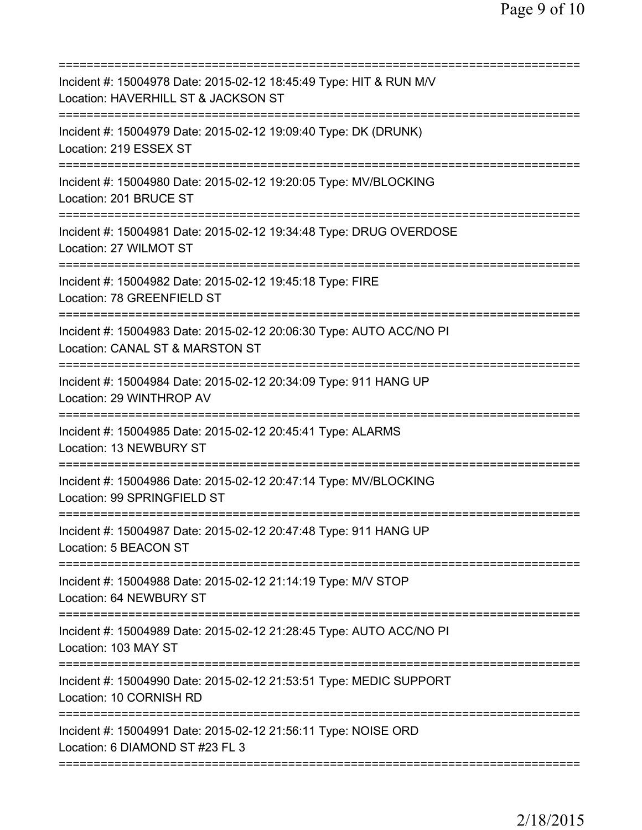| Incident #: 15004978 Date: 2015-02-12 18:45:49 Type: HIT & RUN M/V<br>Location: HAVERHILL ST & JACKSON ST                      |
|--------------------------------------------------------------------------------------------------------------------------------|
| Incident #: 15004979 Date: 2015-02-12 19:09:40 Type: DK (DRUNK)<br>Location: 219 ESSEX ST                                      |
| Incident #: 15004980 Date: 2015-02-12 19:20:05 Type: MV/BLOCKING<br>Location: 201 BRUCE ST                                     |
| Incident #: 15004981 Date: 2015-02-12 19:34:48 Type: DRUG OVERDOSE<br>Location: 27 WILMOT ST                                   |
| ===================================<br>Incident #: 15004982 Date: 2015-02-12 19:45:18 Type: FIRE<br>Location: 78 GREENFIELD ST |
| Incident #: 15004983 Date: 2015-02-12 20:06:30 Type: AUTO ACC/NO PI<br>Location: CANAL ST & MARSTON ST                         |
| Incident #: 15004984 Date: 2015-02-12 20:34:09 Type: 911 HANG UP<br>Location: 29 WINTHROP AV                                   |
| Incident #: 15004985 Date: 2015-02-12 20:45:41 Type: ALARMS<br>Location: 13 NEWBURY ST                                         |
| Incident #: 15004986 Date: 2015-02-12 20:47:14 Type: MV/BLOCKING<br>Location: 99 SPRINGFIELD ST                                |
| Incident #: 15004987 Date: 2015-02-12 20:47:48 Type: 911 HANG UP<br>Location: 5 BEACON ST                                      |
| Incident #: 15004988 Date: 2015-02-12 21:14:19 Type: M/V STOP<br>Location: 64 NEWBURY ST                                       |
| Incident #: 15004989 Date: 2015-02-12 21:28:45 Type: AUTO ACC/NO PI<br>Location: 103 MAY ST                                    |
| Incident #: 15004990 Date: 2015-02-12 21:53:51 Type: MEDIC SUPPORT<br>Location: 10 CORNISH RD                                  |
| Incident #: 15004991 Date: 2015-02-12 21:56:11 Type: NOISE ORD<br>Location: 6 DIAMOND ST #23 FL 3                              |
|                                                                                                                                |